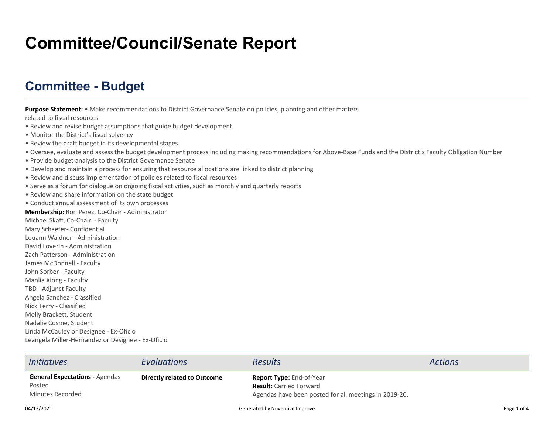## **Committee/Council/Senate Report**

## **Committee - Budget**

**Purpose Statement:** • Make recommendations to District Governance Senate on policies, planning and other matters

related to fiscal resources

- Review and revise budget assumptions that guide budget development
- Monitor the District's fiscal solvency
- Review the draft budget in its developmental stages
- Oversee, evaluate and assess the budget development process including making recommendations for Above-Base Funds and the District's Faculty Obligation Number
- Provide budget analysis to the District Governance Senate
- Develop and maintain a process for ensuring that resource allocations are linked to district planning
- Review and discuss implementation of policies related to fiscal resources
- Serve as a forum for dialogue on ongoing fiscal activities, such as monthly and quarterly reports
- Review and share information on the state budget
- Conduct annual assessment of its own processes
- **Membership:** Ron Perez, Co-Chair Administrator

Michael Skaff, Co-Chair - FacultyMary Schaefer- ConfidentialLouann Waldner - AdministrationDavid Loverin - Administration Zach Patterson - AdministrationJames McDonnell - FacultyJohn Sorber - Faculty Manlia Xiong - Faculty TBD - Adjunct Faculty Angela Sanchez - ClassifiedNick Terry - Classified Molly Brackett, StudentNadalie Cosme, Student Linda McCauley or Designee - Ex-OficioLeangela Miller-Hernandez or Designee - Ex-Oficio

| <i>Initiatives</i>                                                  | <b>Evaluations</b>          | <b>Results</b>                                                                                                             | <b>Actions</b> |
|---------------------------------------------------------------------|-----------------------------|----------------------------------------------------------------------------------------------------------------------------|----------------|
| <b>General Expectations - Agendas</b><br>Posted<br>Minutes Recorded | Directly related to Outcome | <b>Report Type: End-of-Year</b><br><b>Result:</b> Carried Forward<br>Agendas have been posted for all meetings in 2019-20. |                |
| 04/13/2021                                                          |                             | Generated by Nuventive Improve                                                                                             | Page 1 of 4    |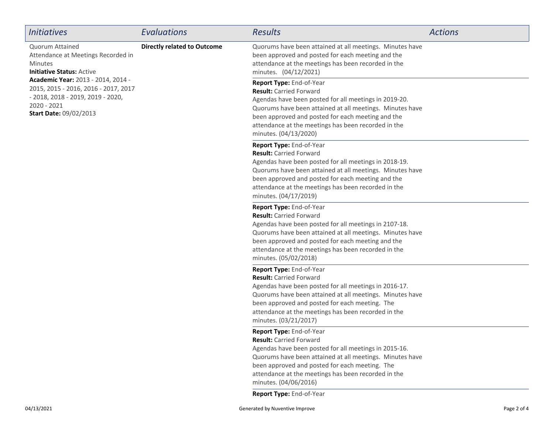| <b>Initiatives</b>                                                                                                                                                                                                                                                               | Evaluations                        | Results                                                                                                                                                                                                                                                                                                              | <b>Actions</b> |
|----------------------------------------------------------------------------------------------------------------------------------------------------------------------------------------------------------------------------------------------------------------------------------|------------------------------------|----------------------------------------------------------------------------------------------------------------------------------------------------------------------------------------------------------------------------------------------------------------------------------------------------------------------|----------------|
| <b>Quorum Attained</b><br>Attendance at Meetings Recorded in<br>Minutes<br><b>Initiative Status: Active</b><br>Academic Year: 2013 - 2014, 2014 -<br>2015, 2015 - 2016, 2016 - 2017, 2017<br>- 2018, 2018 - 2019, 2019 - 2020,<br>$2020 - 2021$<br><b>Start Date: 09/02/2013</b> | <b>Directly related to Outcome</b> | Quorums have been attained at all meetings. Minutes have<br>been approved and posted for each meeting and the<br>attendance at the meetings has been recorded in the<br>minutes. (04/12/2021)                                                                                                                        |                |
|                                                                                                                                                                                                                                                                                  |                                    | Report Type: End-of-Year<br><b>Result: Carried Forward</b><br>Agendas have been posted for all meetings in 2019-20.<br>Quorums have been attained at all meetings. Minutes have<br>been approved and posted for each meeting and the<br>attendance at the meetings has been recorded in the<br>minutes. (04/13/2020) |                |
|                                                                                                                                                                                                                                                                                  |                                    | Report Type: End-of-Year<br><b>Result: Carried Forward</b><br>Agendas have been posted for all meetings in 2018-19.<br>Quorums have been attained at all meetings. Minutes have<br>been approved and posted for each meeting and the<br>attendance at the meetings has been recorded in the<br>minutes. (04/17/2019) |                |
|                                                                                                                                                                                                                                                                                  |                                    | Report Type: End-of-Year<br><b>Result: Carried Forward</b><br>Agendas have been posted for all meetings in 2107-18.<br>Quorums have been attained at all meetings. Minutes have<br>been approved and posted for each meeting and the<br>attendance at the meetings has been recorded in the<br>minutes. (05/02/2018) |                |
|                                                                                                                                                                                                                                                                                  |                                    | Report Type: End-of-Year<br><b>Result: Carried Forward</b><br>Agendas have been posted for all meetings in 2016-17.<br>Quorums have been attained at all meetings. Minutes have<br>been approved and posted for each meeting. The<br>attendance at the meetings has been recorded in the<br>minutes. (03/21/2017)    |                |
|                                                                                                                                                                                                                                                                                  |                                    | Report Type: End-of-Year<br><b>Result: Carried Forward</b><br>Agendas have been posted for all meetings in 2015-16.<br>Quorums have been attained at all meetings. Minutes have<br>been approved and posted for each meeting. The<br>attendance at the meetings has been recorded in the<br>minutes. (04/06/2016)    |                |
|                                                                                                                                                                                                                                                                                  |                                    | Report Type: End-of-Year                                                                                                                                                                                                                                                                                             |                |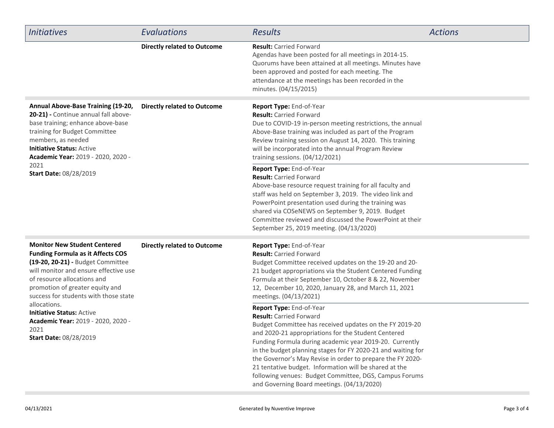| <b>Initiatives</b>                                                                                                                                                                                                                                                                                                                                                                                   | Evaluations                        | <b>Results</b>                                                                                                                                                                                                                                                                                                                                                                                                                                                                                                                          | <b>Actions</b> |
|------------------------------------------------------------------------------------------------------------------------------------------------------------------------------------------------------------------------------------------------------------------------------------------------------------------------------------------------------------------------------------------------------|------------------------------------|-----------------------------------------------------------------------------------------------------------------------------------------------------------------------------------------------------------------------------------------------------------------------------------------------------------------------------------------------------------------------------------------------------------------------------------------------------------------------------------------------------------------------------------------|----------------|
|                                                                                                                                                                                                                                                                                                                                                                                                      | <b>Directly related to Outcome</b> | <b>Result:</b> Carried Forward<br>Agendas have been posted for all meetings in 2014-15.<br>Quorums have been attained at all meetings. Minutes have<br>been approved and posted for each meeting. The<br>attendance at the meetings has been recorded in the<br>minutes. (04/15/2015)                                                                                                                                                                                                                                                   |                |
| Annual Above-Base Training (19-20,<br>20-21) - Continue annual fall above-<br>base training; enhance above-base<br>training for Budget Committee<br>members, as needed<br><b>Initiative Status: Active</b><br>Academic Year: 2019 - 2020, 2020 -<br>2021<br>Start Date: 08/28/2019                                                                                                                   | <b>Directly related to Outcome</b> | Report Type: End-of-Year<br><b>Result: Carried Forward</b><br>Due to COVID-19 in-person meeting restrictions, the annual<br>Above-Base training was included as part of the Program<br>Review training session on August 14, 2020. This training<br>will be incorporated into the annual Program Review<br>training sessions. (04/12/2021)                                                                                                                                                                                              |                |
|                                                                                                                                                                                                                                                                                                                                                                                                      |                                    | Report Type: End-of-Year<br><b>Result: Carried Forward</b><br>Above-base resource request training for all faculty and<br>staff was held on September 3, 2019. The video link and<br>PowerPoint presentation used during the training was<br>shared via COSeNEWS on September 9, 2019. Budget<br>Committee reviewed and discussed the PowerPoint at their<br>September 25, 2019 meeting. (04/13/2020)                                                                                                                                   |                |
| <b>Monitor New Student Centered</b><br><b>Funding Formula as it Affects COS</b><br>(19-20, 20-21) - Budget Committee<br>will monitor and ensure effective use<br>of resource allocations and<br>promotion of greater equity and<br>success for students with those state<br>allocations.<br><b>Initiative Status: Active</b><br>Academic Year: 2019 - 2020, 2020 -<br>2021<br>Start Date: 08/28/2019 | <b>Directly related to Outcome</b> | Report Type: End-of-Year<br><b>Result: Carried Forward</b><br>Budget Committee received updates on the 19-20 and 20-<br>21 budget appropriations via the Student Centered Funding<br>Formula at their September 10, October 8 & 22, November<br>12, December 10, 2020, January 28, and March 11, 2021<br>meetings. (04/13/2021)                                                                                                                                                                                                         |                |
|                                                                                                                                                                                                                                                                                                                                                                                                      |                                    | Report Type: End-of-Year<br><b>Result: Carried Forward</b><br>Budget Committee has received updates on the FY 2019-20<br>and 2020-21 appropriations for the Student Centered<br>Funding Formula during academic year 2019-20. Currently<br>in the budget planning stages for FY 2020-21 and waiting for<br>the Governor's May Revise in order to prepare the FY 2020-<br>21 tentative budget. Information will be shared at the<br>following venues: Budget Committee, DGS, Campus Forums<br>and Governing Board meetings. (04/13/2020) |                |